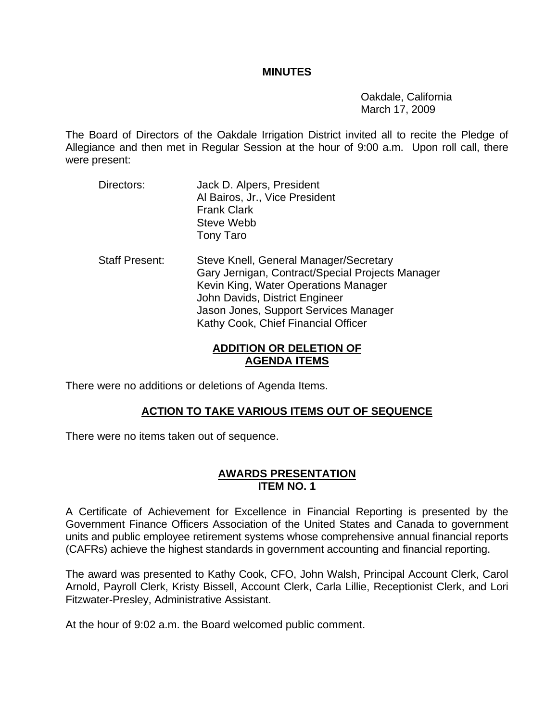#### **MINUTES**

 Oakdale, California March 17, 2009

The Board of Directors of the Oakdale Irrigation District invited all to recite the Pledge of Allegiance and then met in Regular Session at the hour of 9:00 a.m. Upon roll call, there were present:

- Directors: Jack D. Alpers, President Al Bairos, Jr., Vice President Frank Clark Steve Webb Tony Taro
- Staff Present: Steve Knell, General Manager/Secretary Gary Jernigan, Contract/Special Projects Manager Kevin King, Water Operations Manager John Davids, District Engineer Jason Jones, Support Services Manager Kathy Cook, Chief Financial Officer

# **ADDITION OR DELETION OF AGENDA ITEMS**

There were no additions or deletions of Agenda Items.

# **ACTION TO TAKE VARIOUS ITEMS OUT OF SEQUENCE**

There were no items taken out of sequence.

## **AWARDS PRESENTATION ITEM NO. 1**

A Certificate of Achievement for Excellence in Financial Reporting is presented by the Government Finance Officers Association of the United States and Canada to government units and public employee retirement systems whose comprehensive annual financial reports (CAFRs) achieve the highest standards in government accounting and financial reporting.

The award was presented to Kathy Cook, CFO, John Walsh, Principal Account Clerk, Carol Arnold, Payroll Clerk, Kristy Bissell, Account Clerk, Carla Lillie, Receptionist Clerk, and Lori Fitzwater-Presley, Administrative Assistant.

At the hour of 9:02 a.m. the Board welcomed public comment.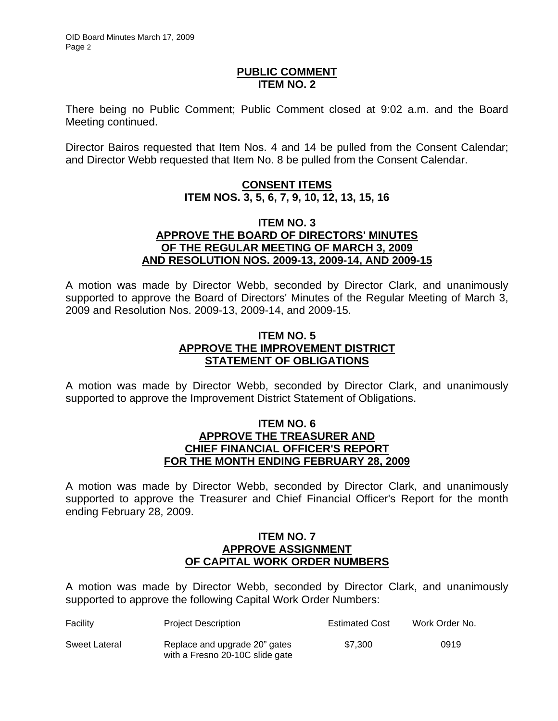#### **PUBLIC COMMENT ITEM NO. 2**

There being no Public Comment; Public Comment closed at 9:02 a.m. and the Board Meeting continued.

Director Bairos requested that Item Nos. 4 and 14 be pulled from the Consent Calendar; and Director Webb requested that Item No. 8 be pulled from the Consent Calendar.

# **CONSENT ITEMS ITEM NOS. 3, 5, 6, 7, 9, 10, 12, 13, 15, 16**

### **ITEM NO. 3 APPROVE THE BOARD OF DIRECTORS' MINUTES OF THE REGULAR MEETING OF MARCH 3, 2009 AND RESOLUTION NOS. 2009-13, 2009-14, AND 2009-15**

A motion was made by Director Webb, seconded by Director Clark, and unanimously supported to approve the Board of Directors' Minutes of the Regular Meeting of March 3, 2009 and Resolution Nos. 2009-13, 2009-14, and 2009-15.

## **ITEM NO. 5 APPROVE THE IMPROVEMENT DISTRICT STATEMENT OF OBLIGATIONS**

A motion was made by Director Webb, seconded by Director Clark, and unanimously supported to approve the Improvement District Statement of Obligations.

### **ITEM NO. 6 APPROVE THE TREASURER AND CHIEF FINANCIAL OFFICER'S REPORT FOR THE MONTH ENDING FEBRUARY 28, 2009**

A motion was made by Director Webb, seconded by Director Clark, and unanimously supported to approve the Treasurer and Chief Financial Officer's Report for the month ending February 28, 2009.

### **ITEM NO. 7 APPROVE ASSIGNMENT OF CAPITAL WORK ORDER NUMBERS**

A motion was made by Director Webb, seconded by Director Clark, and unanimously supported to approve the following Capital Work Order Numbers:

| <b>Facility</b> | <b>Project Description</b>                                       | <b>Estimated Cost</b> | Work Order No. |
|-----------------|------------------------------------------------------------------|-----------------------|----------------|
| Sweet Lateral   | Replace and upgrade 20" gates<br>with a Fresno 20-10C slide gate | \$7.300               | 0919           |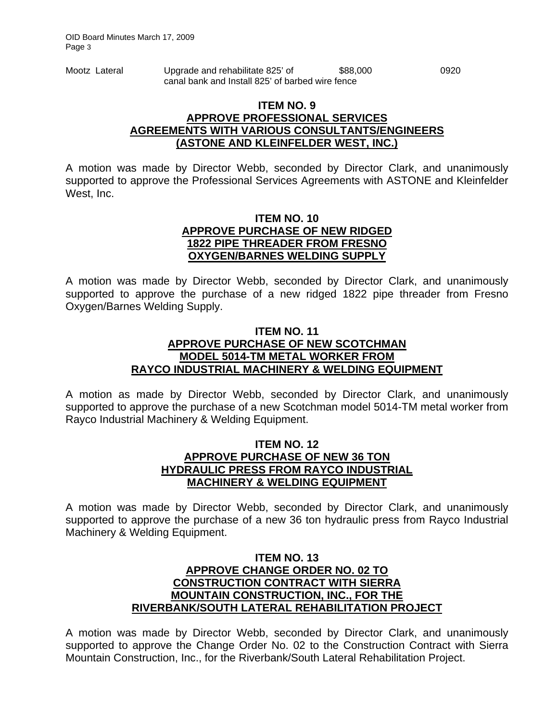| Mootz Lateral | Upgrade and rehabilitate 825' of                 | \$88,000 | 0920 |
|---------------|--------------------------------------------------|----------|------|
|               | canal bank and Install 825' of barbed wire fence |          |      |

### **ITEM NO. 9 APPROVE PROFESSIONAL SERVICES AGREEMENTS WITH VARIOUS CONSULTANTS/ENGINEERS (ASTONE AND KLEINFELDER WEST, INC.)**

A motion was made by Director Webb, seconded by Director Clark, and unanimously supported to approve the Professional Services Agreements with ASTONE and Kleinfelder West, Inc.

#### **ITEM NO. 10 APPROVE PURCHASE OF NEW RIDGED 1822 PIPE THREADER FROM FRESNO OXYGEN/BARNES WELDING SUPPLY**

A motion was made by Director Webb, seconded by Director Clark, and unanimously supported to approve the purchase of a new ridged 1822 pipe threader from Fresno Oxygen/Barnes Welding Supply.

### **ITEM NO. 11 APPROVE PURCHASE OF NEW SCOTCHMAN MODEL 5014-TM METAL WORKER FROM RAYCO INDUSTRIAL MACHINERY & WELDING EQUIPMENT**

A motion as made by Director Webb, seconded by Director Clark, and unanimously supported to approve the purchase of a new Scotchman model 5014-TM metal worker from Rayco Industrial Machinery & Welding Equipment.

### **ITEM NO. 12 APPROVE PURCHASE OF NEW 36 TON HYDRAULIC PRESS FROM RAYCO INDUSTRIAL MACHINERY & WELDING EQUIPMENT**

A motion was made by Director Webb, seconded by Director Clark, and unanimously supported to approve the purchase of a new 36 ton hydraulic press from Rayco Industrial Machinery & Welding Equipment.

## **ITEM NO. 13 APPROVE CHANGE ORDER NO. 02 TO CONSTRUCTION CONTRACT WITH SIERRA MOUNTAIN CONSTRUCTION, INC., FOR THE RIVERBANK/SOUTH LATERAL REHABILITATION PROJECT**

A motion was made by Director Webb, seconded by Director Clark, and unanimously supported to approve the Change Order No. 02 to the Construction Contract with Sierra Mountain Construction, Inc., for the Riverbank/South Lateral Rehabilitation Project.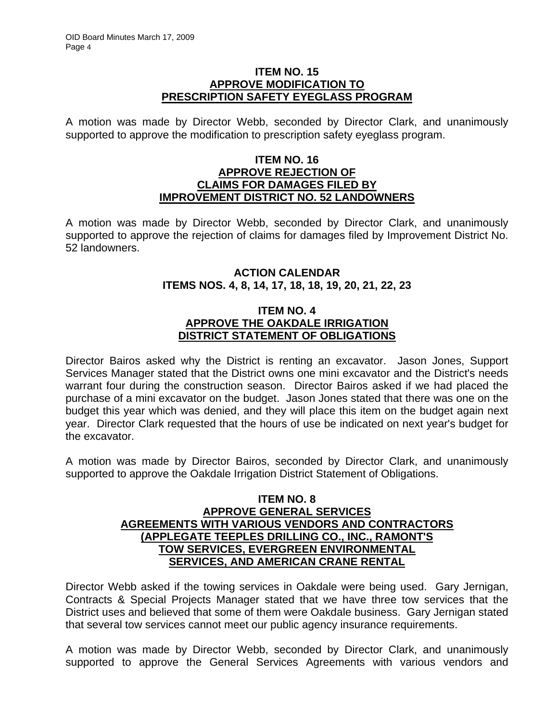### **ITEM NO. 15 APPROVE MODIFICATION TO PRESCRIPTION SAFETY EYEGLASS PROGRAM**

A motion was made by Director Webb, seconded by Director Clark, and unanimously supported to approve the modification to prescription safety eyeglass program.

### **ITEM NO. 16 APPROVE REJECTION OF CLAIMS FOR DAMAGES FILED BY IMPROVEMENT DISTRICT NO. 52 LANDOWNERS**

A motion was made by Director Webb, seconded by Director Clark, and unanimously supported to approve the rejection of claims for damages filed by Improvement District No. 52 landowners.

## **ACTION CALENDAR ITEMS NOS. 4, 8, 14, 17, 18, 18, 19, 20, 21, 22, 23**

## **ITEM NO. 4 APPROVE THE OAKDALE IRRIGATION DISTRICT STATEMENT OF OBLIGATIONS**

Director Bairos asked why the District is renting an excavator. Jason Jones, Support Services Manager stated that the District owns one mini excavator and the District's needs warrant four during the construction season. Director Bairos asked if we had placed the purchase of a mini excavator on the budget. Jason Jones stated that there was one on the budget this year which was denied, and they will place this item on the budget again next year. Director Clark requested that the hours of use be indicated on next year's budget for the excavator.

A motion was made by Director Bairos, seconded by Director Clark, and unanimously supported to approve the Oakdale Irrigation District Statement of Obligations.

### **ITEM NO. 8 APPROVE GENERAL SERVICES AGREEMENTS WITH VARIOUS VENDORS AND CONTRACTORS (APPLEGATE TEEPLES DRILLING CO., INC., RAMONT'S TOW SERVICES, EVERGREEN ENVIRONMENTAL SERVICES, AND AMERICAN CRANE RENTAL**

Director Webb asked if the towing services in Oakdale were being used. Gary Jernigan, Contracts & Special Projects Manager stated that we have three tow services that the District uses and believed that some of them were Oakdale business. Gary Jernigan stated that several tow services cannot meet our public agency insurance requirements.

A motion was made by Director Webb, seconded by Director Clark, and unanimously supported to approve the General Services Agreements with various vendors and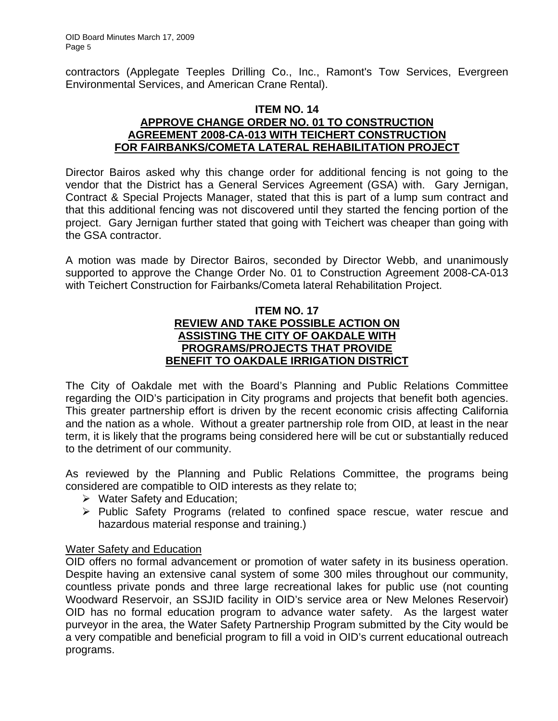contractors (Applegate Teeples Drilling Co., Inc., Ramont's Tow Services, Evergreen Environmental Services, and American Crane Rental).

### **ITEM NO. 14 APPROVE CHANGE ORDER NO. 01 TO CONSTRUCTION AGREEMENT 2008-CA-013 WITH TEICHERT CONSTRUCTION FOR FAIRBANKS/COMETA LATERAL REHABILITATION PROJECT**

Director Bairos asked why this change order for additional fencing is not going to the vendor that the District has a General Services Agreement (GSA) with. Gary Jernigan, Contract & Special Projects Manager, stated that this is part of a lump sum contract and that this additional fencing was not discovered until they started the fencing portion of the project. Gary Jernigan further stated that going with Teichert was cheaper than going with the GSA contractor.

A motion was made by Director Bairos, seconded by Director Webb, and unanimously supported to approve the Change Order No. 01 to Construction Agreement 2008-CA-013 with Teichert Construction for Fairbanks/Cometa lateral Rehabilitation Project.

## **ITEM NO. 17 REVIEW AND TAKE POSSIBLE ACTION ON ASSISTING THE CITY OF OAKDALE WITH PROGRAMS/PROJECTS THAT PROVIDE BENEFIT TO OAKDALE IRRIGATION DISTRICT**

The City of Oakdale met with the Board's Planning and Public Relations Committee regarding the OID's participation in City programs and projects that benefit both agencies. This greater partnership effort is driven by the recent economic crisis affecting California and the nation as a whole. Without a greater partnership role from OID, at least in the near term, it is likely that the programs being considered here will be cut or substantially reduced to the detriment of our community.

As reviewed by the Planning and Public Relations Committee, the programs being considered are compatible to OID interests as they relate to;

- $\triangleright$  Water Safety and Education;
- ¾ Public Safety Programs (related to confined space rescue, water rescue and hazardous material response and training.)

## Water Safety and Education

OID offers no formal advancement or promotion of water safety in its business operation. Despite having an extensive canal system of some 300 miles throughout our community, countless private ponds and three large recreational lakes for public use (not counting Woodward Reservoir, an SSJID facility in OID's service area or New Melones Reservoir) OID has no formal education program to advance water safety. As the largest water purveyor in the area, the Water Safety Partnership Program submitted by the City would be a very compatible and beneficial program to fill a void in OID's current educational outreach programs.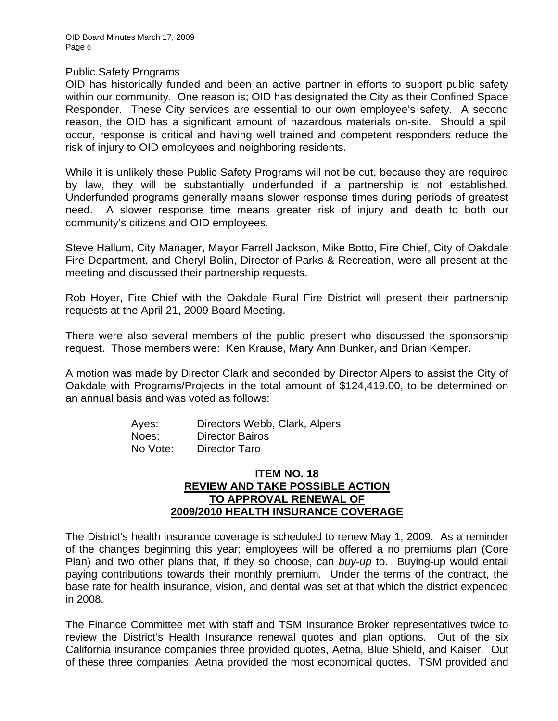#### Public Safety Programs

OID has historically funded and been an active partner in efforts to support public safety within our community. One reason is; OID has designated the City as their Confined Space Responder. These City services are essential to our own employee's safety. A second reason, the OID has a significant amount of hazardous materials on-site. Should a spill occur, response is critical and having well trained and competent responders reduce the risk of injury to OID employees and neighboring residents.

While it is unlikely these Public Safety Programs will not be cut, because they are required by law, they will be substantially underfunded if a partnership is not established. Underfunded programs generally means slower response times during periods of greatest need. A slower response time means greater risk of injury and death to both our community's citizens and OID employees.

Steve Hallum, City Manager, Mayor Farrell Jackson, Mike Botto, Fire Chief, City of Oakdale Fire Department, and Cheryl Bolin, Director of Parks & Recreation, were all present at the meeting and discussed their partnership requests.

Rob Hoyer, Fire Chief with the Oakdale Rural Fire District will present their partnership requests at the April 21, 2009 Board Meeting.

There were also several members of the public present who discussed the sponsorship request. Those members were: Ken Krause, Mary Ann Bunker, and Brian Kemper.

A motion was made by Director Clark and seconded by Director Alpers to assist the City of Oakdale with Programs/Projects in the total amount of \$124,419.00, to be determined on an annual basis and was voted as follows:

| Ayes:    | Directors Webb, Clark, Alpers |
|----------|-------------------------------|
| Noes:    | <b>Director Bairos</b>        |
| No Vote: | Director Taro                 |

### **ITEM NO. 18 REVIEW AND TAKE POSSIBLE ACTION TO APPROVAL RENEWAL OF 2009/2010 HEALTH INSURANCE COVERAGE**

The District's health insurance coverage is scheduled to renew May 1, 2009. As a reminder of the changes beginning this year; employees will be offered a no premiums plan (Core Plan) and two other plans that, if they so choose, can *buy-up* to. Buying-up would entail paying contributions towards their monthly premium. Under the terms of the contract, the base rate for health insurance, vision, and dental was set at that which the district expended in 2008.

The Finance Committee met with staff and TSM Insurance Broker representatives twice to review the District's Health Insurance renewal quotes and plan options. Out of the six California insurance companies three provided quotes, Aetna, Blue Shield, and Kaiser. Out of these three companies, Aetna provided the most economical quotes. TSM provided and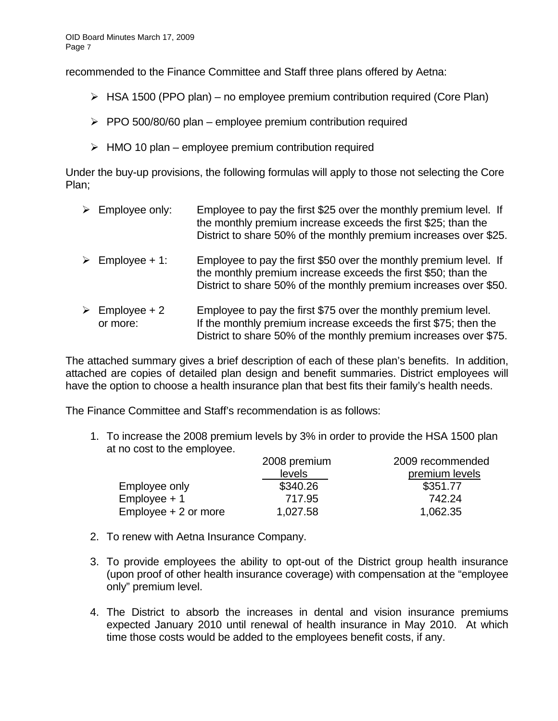recommended to the Finance Committee and Staff three plans offered by Aetna:

- $\triangleright$  HSA 1500 (PPO plan) no employee premium contribution required (Core Plan)
- $\triangleright$  PPO 500/80/60 plan employee premium contribution required
- $\triangleright$  HMO 10 plan employee premium contribution required

Under the buy-up provisions, the following formulas will apply to those not selecting the Core Plan;

 $\triangleright$  Employee only: Employee to pay the first \$25 over the monthly premium level. If the monthly premium increase exceeds the first \$25; than the District to share 50% of the monthly premium increases over \$25.  $\triangleright$  Employee + 1: Employee to pay the first \$50 over the monthly premium level. If the monthly premium increase exceeds the first \$50; than the District to share 50% of the monthly premium increases over \$50.  $\triangleright$  Employee + 2 Employee to pay the first \$75 over the monthly premium level. or more: If the monthly premium increase exceeds the first \$75; then the District to share 50% of the monthly premium increases over \$75.

The attached summary gives a brief description of each of these plan's benefits. In addition, attached are copies of detailed plan design and benefit summaries. District employees will have the option to choose a health insurance plan that best fits their family's health needs.

The Finance Committee and Staff's recommendation is as follows:

1. To increase the 2008 premium levels by 3% in order to provide the HSA 1500 plan at no cost to the employee.

|                        | 2008 premium | 2009 recommended |
|------------------------|--------------|------------------|
|                        | levels       | premium levels   |
| Employee only          | \$340.26     | \$351.77         |
| $Employee + 1$         | 717.95       | 742.24           |
| $Employee + 2$ or more | 1,027.58     | 1,062.35         |

- 2. To renew with Aetna Insurance Company.
- 3. To provide employees the ability to opt-out of the District group health insurance (upon proof of other health insurance coverage) with compensation at the "employee only" premium level.
- 4. The District to absorb the increases in dental and vision insurance premiums expected January 2010 until renewal of health insurance in May 2010. At which time those costs would be added to the employees benefit costs, if any.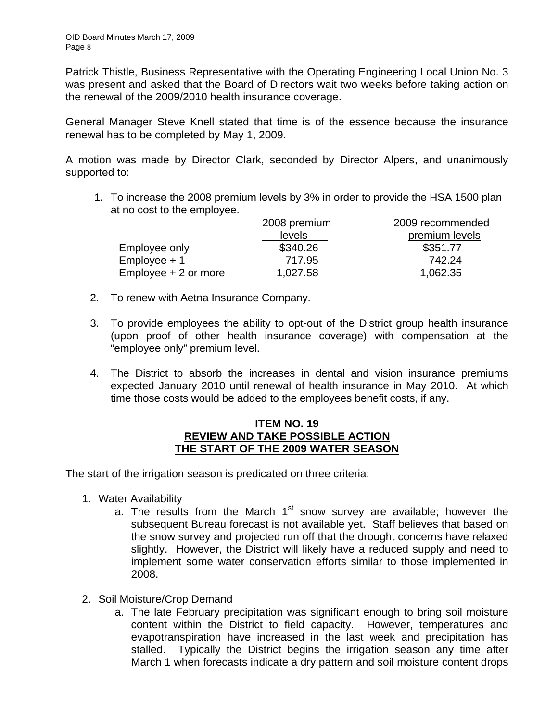Patrick Thistle, Business Representative with the Operating Engineering Local Union No. 3 was present and asked that the Board of Directors wait two weeks before taking action on the renewal of the 2009/2010 health insurance coverage.

General Manager Steve Knell stated that time is of the essence because the insurance renewal has to be completed by May 1, 2009.

A motion was made by Director Clark, seconded by Director Alpers, and unanimously supported to:

1. To increase the 2008 premium levels by 3% in order to provide the HSA 1500 plan at no cost to the employee.

|                        | 2008 premium | 2009 recommended |
|------------------------|--------------|------------------|
|                        | levels       | premium levels   |
| Employee only          | \$340.26     | \$351.77         |
| $Employee + 1$         | 717.95       | 742.24           |
| $Employee + 2$ or more | 1,027.58     | 1,062.35         |

- 2. To renew with Aetna Insurance Company.
- 3. To provide employees the ability to opt-out of the District group health insurance (upon proof of other health insurance coverage) with compensation at the "employee only" premium level.
- 4. The District to absorb the increases in dental and vision insurance premiums expected January 2010 until renewal of health insurance in May 2010. At which time those costs would be added to the employees benefit costs, if any.

### **ITEM NO. 19 REVIEW AND TAKE POSSIBLE ACTION THE START OF THE 2009 WATER SEASON**

The start of the irrigation season is predicated on three criteria:

- 1. Water Availability
	- a. The results from the March  $1<sup>st</sup>$  snow survey are available; however the subsequent Bureau forecast is not available yet. Staff believes that based on the snow survey and projected run off that the drought concerns have relaxed slightly. However, the District will likely have a reduced supply and need to implement some water conservation efforts similar to those implemented in 2008.
- 2. Soil Moisture/Crop Demand
	- a. The late February precipitation was significant enough to bring soil moisture content within the District to field capacity. However, temperatures and evapotranspiration have increased in the last week and precipitation has stalled. Typically the District begins the irrigation season any time after March 1 when forecasts indicate a dry pattern and soil moisture content drops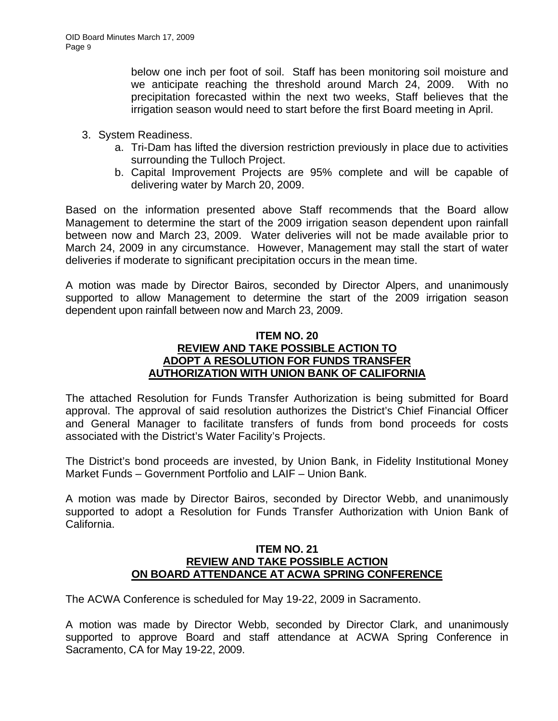below one inch per foot of soil. Staff has been monitoring soil moisture and we anticipate reaching the threshold around March 24, 2009. With no precipitation forecasted within the next two weeks, Staff believes that the irrigation season would need to start before the first Board meeting in April.

- 3. System Readiness.
	- a. Tri-Dam has lifted the diversion restriction previously in place due to activities surrounding the Tulloch Project.
	- b. Capital Improvement Projects are 95% complete and will be capable of delivering water by March 20, 2009.

Based on the information presented above Staff recommends that the Board allow Management to determine the start of the 2009 irrigation season dependent upon rainfall between now and March 23, 2009. Water deliveries will not be made available prior to March 24, 2009 in any circumstance. However, Management may stall the start of water deliveries if moderate to significant precipitation occurs in the mean time.

A motion was made by Director Bairos, seconded by Director Alpers, and unanimously supported to allow Management to determine the start of the 2009 irrigation season dependent upon rainfall between now and March 23, 2009.

# **ITEM NO. 20 REVIEW AND TAKE POSSIBLE ACTION TO ADOPT A RESOLUTION FOR FUNDS TRANSFER AUTHORIZATION WITH UNION BANK OF CALIFORNIA**

The attached Resolution for Funds Transfer Authorization is being submitted for Board approval. The approval of said resolution authorizes the District's Chief Financial Officer and General Manager to facilitate transfers of funds from bond proceeds for costs associated with the District's Water Facility's Projects.

The District's bond proceeds are invested, by Union Bank, in Fidelity Institutional Money Market Funds – Government Portfolio and LAIF – Union Bank.

A motion was made by Director Bairos, seconded by Director Webb, and unanimously supported to adopt a Resolution for Funds Transfer Authorization with Union Bank of California.

### **ITEM NO. 21 REVIEW AND TAKE POSSIBLE ACTION ON BOARD ATTENDANCE AT ACWA SPRING CONFERENCE**

The ACWA Conference is scheduled for May 19-22, 2009 in Sacramento.

A motion was made by Director Webb, seconded by Director Clark, and unanimously supported to approve Board and staff attendance at ACWA Spring Conference in Sacramento, CA for May 19-22, 2009.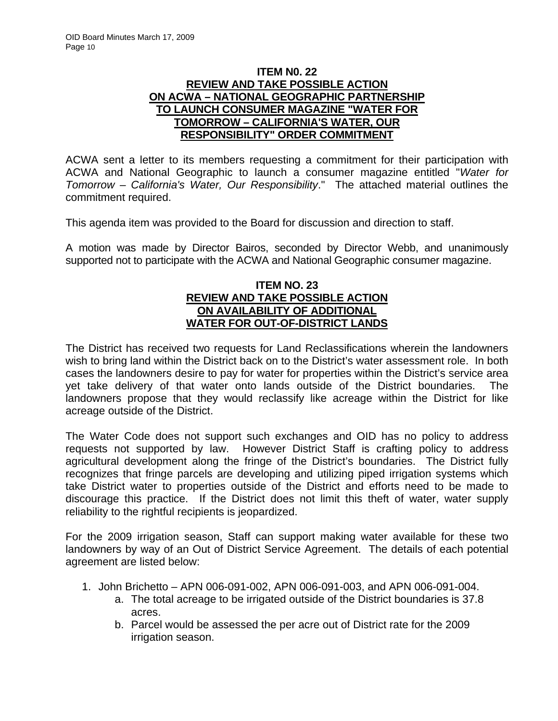## **ITEM N0. 22 REVIEW AND TAKE POSSIBLE ACTION ON ACWA – NATIONAL GEOGRAPHIC PARTNERSHIP TO LAUNCH CONSUMER MAGAZINE "WATER FOR TOMORROW – CALIFORNIA'S WATER, OUR RESPONSIBILITY" ORDER COMMITMENT**

ACWA sent a letter to its members requesting a commitment for their participation with ACWA and National Geographic to launch a consumer magazine entitled "*Water for Tomorrow – California's Water, Our Responsibility*." The attached material outlines the commitment required.

This agenda item was provided to the Board for discussion and direction to staff.

A motion was made by Director Bairos, seconded by Director Webb, and unanimously supported not to participate with the ACWA and National Geographic consumer magazine.

## **ITEM NO. 23 REVIEW AND TAKE POSSIBLE ACTION ON AVAILABILITY OF ADDITIONAL WATER FOR OUT-OF-DISTRICT LANDS**

The District has received two requests for Land Reclassifications wherein the landowners wish to bring land within the District back on to the District's water assessment role. In both cases the landowners desire to pay for water for properties within the District's service area yet take delivery of that water onto lands outside of the District boundaries. The landowners propose that they would reclassify like acreage within the District for like acreage outside of the District.

The Water Code does not support such exchanges and OID has no policy to address requests not supported by law. However District Staff is crafting policy to address agricultural development along the fringe of the District's boundaries. The District fully recognizes that fringe parcels are developing and utilizing piped irrigation systems which take District water to properties outside of the District and efforts need to be made to discourage this practice. If the District does not limit this theft of water, water supply reliability to the rightful recipients is jeopardized.

For the 2009 irrigation season, Staff can support making water available for these two landowners by way of an Out of District Service Agreement. The details of each potential agreement are listed below:

- 1. John Brichetto APN 006-091-002, APN 006-091-003, and APN 006-091-004.
	- a. The total acreage to be irrigated outside of the District boundaries is 37.8 acres.
	- b. Parcel would be assessed the per acre out of District rate for the 2009 irrigation season.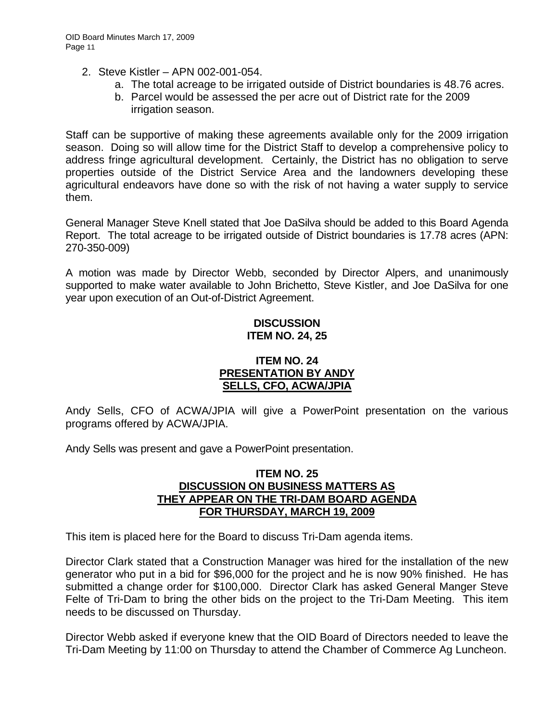- 2. Steve Kistler APN 002-001-054.
	- a. The total acreage to be irrigated outside of District boundaries is 48.76 acres.
	- b. Parcel would be assessed the per acre out of District rate for the 2009 irrigation season.

Staff can be supportive of making these agreements available only for the 2009 irrigation season. Doing so will allow time for the District Staff to develop a comprehensive policy to address fringe agricultural development. Certainly, the District has no obligation to serve properties outside of the District Service Area and the landowners developing these agricultural endeavors have done so with the risk of not having a water supply to service them.

General Manager Steve Knell stated that Joe DaSilva should be added to this Board Agenda Report. The total acreage to be irrigated outside of District boundaries is 17.78 acres (APN: 270-350-009)

A motion was made by Director Webb, seconded by Director Alpers, and unanimously supported to make water available to John Brichetto, Steve Kistler, and Joe DaSilva for one year upon execution of an Out-of-District Agreement.

### **DISCUSSION ITEM NO. 24, 25**

## **ITEM NO. 24 PRESENTATION BY ANDY SELLS, CFO, ACWA/JPIA**

Andy Sells, CFO of ACWA/JPIA will give a PowerPoint presentation on the various programs offered by ACWA/JPIA.

Andy Sells was present and gave a PowerPoint presentation.

### **ITEM NO. 25 DISCUSSION ON BUSINESS MATTERS AS THEY APPEAR ON THE TRI-DAM BOARD AGENDA FOR THURSDAY, MARCH 19, 2009**

This item is placed here for the Board to discuss Tri-Dam agenda items.

Director Clark stated that a Construction Manager was hired for the installation of the new generator who put in a bid for \$96,000 for the project and he is now 90% finished. He has submitted a change order for \$100,000. Director Clark has asked General Manger Steve Felte of Tri-Dam to bring the other bids on the project to the Tri-Dam Meeting. This item needs to be discussed on Thursday.

Director Webb asked if everyone knew that the OID Board of Directors needed to leave the Tri-Dam Meeting by 11:00 on Thursday to attend the Chamber of Commerce Ag Luncheon.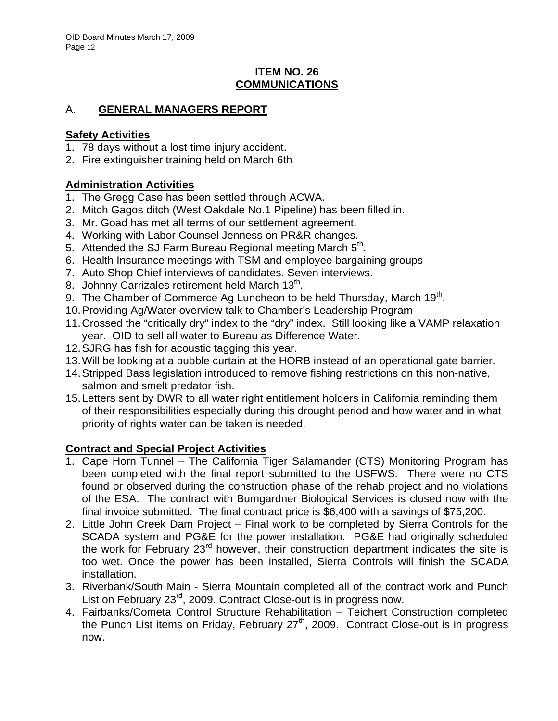# **ITEM NO. 26 COMMUNICATIONS**

# A. **GENERAL MANAGERS REPORT**

# **Safety Activities**

- 1. 78 days without a lost time injury accident.
- 2. Fire extinguisher training held on March 6th

# **Administration Activities**

- 1. The Gregg Case has been settled through ACWA.
- 2. Mitch Gagos ditch (West Oakdale No.1 Pipeline) has been filled in.
- 3. Mr. Goad has met all terms of our settlement agreement.
- 4. Working with Labor Counsel Jenness on PR&R changes.
- 5. Attended the SJ Farm Bureau Regional meeting March  $5<sup>th</sup>$ .
- 6. Health Insurance meetings with TSM and employee bargaining groups
- 7. Auto Shop Chief interviews of candidates. Seven interviews.
- 8. Johnny Carrizales retirement held March  $13<sup>th</sup>$ .
- 9. The Chamber of Commerce Ag Luncheon to be held Thursday, March  $19<sup>th</sup>$ .
- 10. Providing Ag/Water overview talk to Chamber's Leadership Program
- 11. Crossed the "critically dry" index to the "dry" index. Still looking like a VAMP relaxation year. OID to sell all water to Bureau as Difference Water.
- 12. SJRG has fish for acoustic tagging this year.
- 13. Will be looking at a bubble curtain at the HORB instead of an operational gate barrier.
- 14. Stripped Bass legislation introduced to remove fishing restrictions on this non-native, salmon and smelt predator fish.
- 15. Letters sent by DWR to all water right entitlement holders in California reminding them of their responsibilities especially during this drought period and how water and in what priority of rights water can be taken is needed.

# **Contract and Special Project Activities**

- 1. Cape Horn Tunnel The California Tiger Salamander (CTS) Monitoring Program has been completed with the final report submitted to the USFWS. There were no CTS found or observed during the construction phase of the rehab project and no violations of the ESA. The contract with Bumgardner Biological Services is closed now with the final invoice submitted. The final contract price is \$6,400 with a savings of \$75,200.
- 2. Little John Creek Dam Project Final work to be completed by Sierra Controls for the SCADA system and PG&E for the power installation. PG&E had originally scheduled the work for February 23<sup>rd</sup> however, their construction department indicates the site is too wet. Once the power has been installed, Sierra Controls will finish the SCADA installation.
- 3. Riverbank/South Main Sierra Mountain completed all of the contract work and Punch List on February 23<sup>rd</sup>, 2009. Contract Close-out is in progress now.
- 4. Fairbanks/Cometa Control Structure Rehabilitation Teichert Construction completed the Punch List items on Friday, February  $27<sup>th</sup>$ , 2009. Contract Close-out is in progress now.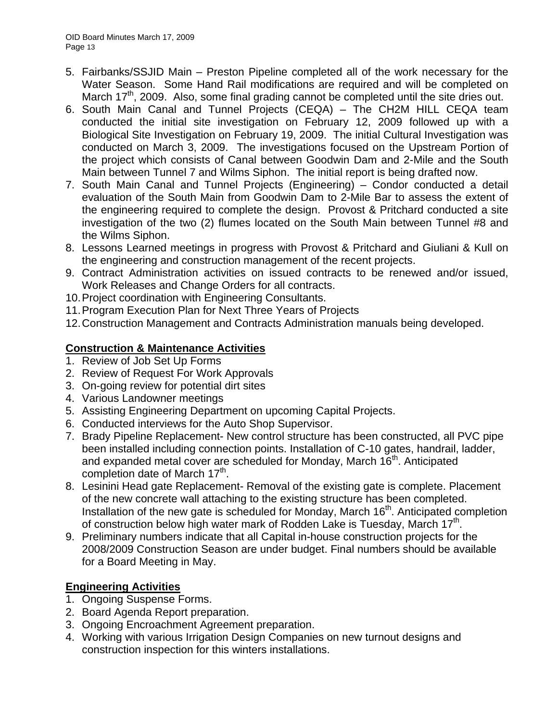- 5. Fairbanks/SSJID Main Preston Pipeline completed all of the work necessary for the Water Season. Some Hand Rail modifications are required and will be completed on March 17<sup>th</sup>, 2009. Also, some final grading cannot be completed until the site dries out.
- 6. South Main Canal and Tunnel Projects (CEQA) The CH2M HILL CEQA team conducted the initial site investigation on February 12, 2009 followed up with a Biological Site Investigation on February 19, 2009. The initial Cultural Investigation was conducted on March 3, 2009. The investigations focused on the Upstream Portion of the project which consists of Canal between Goodwin Dam and 2-Mile and the South Main between Tunnel 7 and Wilms Siphon. The initial report is being drafted now.
- 7. South Main Canal and Tunnel Projects (Engineering) Condor conducted a detail evaluation of the South Main from Goodwin Dam to 2-Mile Bar to assess the extent of the engineering required to complete the design. Provost & Pritchard conducted a site investigation of the two (2) flumes located on the South Main between Tunnel #8 and the Wilms Siphon.
- 8. Lessons Learned meetings in progress with Provost & Pritchard and Giuliani & Kull on the engineering and construction management of the recent projects.
- 9. Contract Administration activities on issued contracts to be renewed and/or issued, Work Releases and Change Orders for all contracts.
- 10. Project coordination with Engineering Consultants.
- 11. Program Execution Plan for Next Three Years of Projects
- 12. Construction Management and Contracts Administration manuals being developed.

# **Construction & Maintenance Activities**

- 1. Review of Job Set Up Forms
- 2. Review of Request For Work Approvals
- 3. On-going review for potential dirt sites
- 4. Various Landowner meetings
- 5. Assisting Engineering Department on upcoming Capital Projects.
- 6. Conducted interviews for the Auto Shop Supervisor.
- 7. Brady Pipeline Replacement- New control structure has been constructed, all PVC pipe been installed including connection points. Installation of C-10 gates, handrail, ladder, and expanded metal cover are scheduled for Monday, March 16<sup>th</sup>. Anticipated completion date of March 17<sup>th</sup>.
- 8. Lesinini Head gate Replacement- Removal of the existing gate is complete. Placement of the new concrete wall attaching to the existing structure has been completed. Installation of the new gate is scheduled for Monday, March 16<sup>th</sup>. Anticipated completion of construction below high water mark of Rodden Lake is Tuesday, March 17<sup>th</sup>.
- 9. Preliminary numbers indicate that all Capital in-house construction projects for the 2008/2009 Construction Season are under budget. Final numbers should be available for a Board Meeting in May.

# **Engineering Activities**

- 1. Ongoing Suspense Forms.
- 2. Board Agenda Report preparation.
- 3. Ongoing Encroachment Agreement preparation.
- 4. Working with various Irrigation Design Companies on new turnout designs and construction inspection for this winters installations.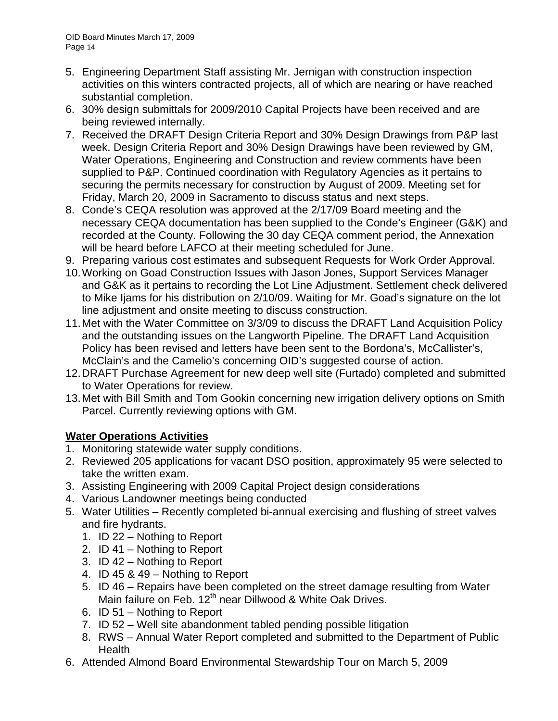- 5. Engineering Department Staff assisting Mr. Jernigan with construction inspection activities on this winters contracted projects, all of which are nearing or have reached substantial completion.
- 6. 30% design submittals for 2009/2010 Capital Projects have been received and are being reviewed internally.
- 7. Received the DRAFT Design Criteria Report and 30% Design Drawings from P&P last week. Design Criteria Report and 30% Design Drawings have been reviewed by GM, Water Operations, Engineering and Construction and review comments have been supplied to P&P. Continued coordination with Regulatory Agencies as it pertains to securing the permits necessary for construction by August of 2009. Meeting set for Friday, March 20, 2009 in Sacramento to discuss status and next steps.
- 8. Conde's CEQA resolution was approved at the 2/17/09 Board meeting and the necessary CEQA documentation has been supplied to the Conde's Engineer (G&K) and recorded at the County. Following the 30 day CEQA comment period, the Annexation will be heard before LAFCO at their meeting scheduled for June.
- 9. Preparing various cost estimates and subsequent Requests for Work Order Approval.
- 10. Working on Goad Construction Issues with Jason Jones, Support Services Manager and G&K as it pertains to recording the Lot Line Adjustment. Settlement check delivered to Mike Ijams for his distribution on 2/10/09. Waiting for Mr. Goad's signature on the lot line adjustment and onsite meeting to discuss construction.
- 11. Met with the Water Committee on 3/3/09 to discuss the DRAFT Land Acquisition Policy and the outstanding issues on the Langworth Pipeline. The DRAFT Land Acquisition Policy has been revised and letters have been sent to the Bordona's, McCallister's, McClain's and the Camelio's concerning OID's suggested course of action.
- 12. DRAFT Purchase Agreement for new deep well site (Furtado) completed and submitted to Water Operations for review.
- 13. Met with Bill Smith and Tom Gookin concerning new irrigation delivery options on Smith Parcel. Currently reviewing options with GM.

# **Water Operations Activities**

- 1. Monitoring statewide water supply conditions.
- 2. Reviewed 205 applications for vacant DSO position, approximately 95 were selected to take the written exam.
- 3. Assisting Engineering with 2009 Capital Project design considerations
- 4. Various Landowner meetings being conducted
- 5. Water Utilities Recently completed bi-annual exercising and flushing of street valves and fire hydrants.
	- 1. ID 22 Nothing to Report
	- 2. ID 41 Nothing to Report
	- 3. ID 42 Nothing to Report
	- 4. ID 45 & 49 Nothing to Report
	- 5. ID 46 Repairs have been completed on the street damage resulting from Water Main failure on Feb. 12<sup>th</sup> near Dillwood & White Oak Drives.
	- 6. ID 51 Nothing to Report
	- 7. ID 52 Well site abandonment tabled pending possible litigation
	- 8. RWS Annual Water Report completed and submitted to the Department of Public Health
- 6. Attended Almond Board Environmental Stewardship Tour on March 5, 2009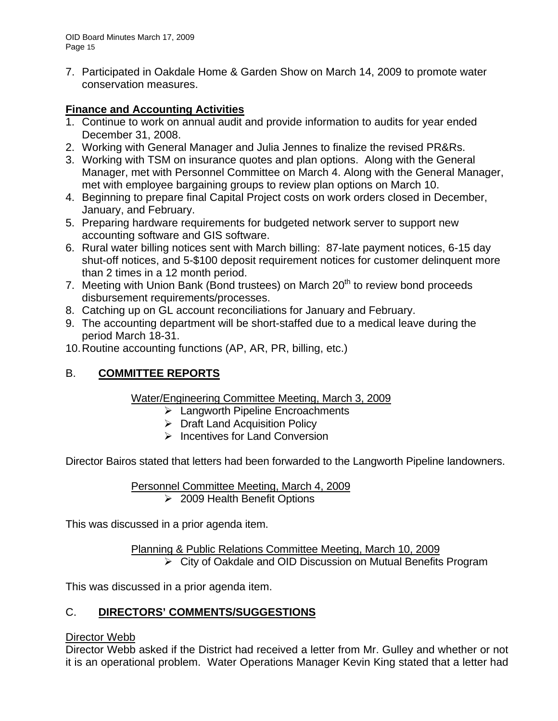7. Participated in Oakdale Home & Garden Show on March 14, 2009 to promote water conservation measures.

# **Finance and Accounting Activities**

- 1. Continue to work on annual audit and provide information to audits for year ended December 31, 2008.
- 2. Working with General Manager and Julia Jennes to finalize the revised PR&Rs.
- 3. Working with TSM on insurance quotes and plan options. Along with the General Manager, met with Personnel Committee on March 4. Along with the General Manager, met with employee bargaining groups to review plan options on March 10.
- 4. Beginning to prepare final Capital Project costs on work orders closed in December, January, and February.
- 5. Preparing hardware requirements for budgeted network server to support new accounting software and GIS software.
- 6. Rural water billing notices sent with March billing: 87-late payment notices, 6-15 day shut-off notices, and 5-\$100 deposit requirement notices for customer delinquent more than 2 times in a 12 month period.
- 7. Meeting with Union Bank (Bond trustees) on March 20<sup>th</sup> to review bond proceeds disbursement requirements/processes.
- 8. Catching up on GL account reconciliations for January and February.
- 9. The accounting department will be short-staffed due to a medical leave during the period March 18-31.
- 10. Routine accounting functions (AP, AR, PR, billing, etc.)

# B. **COMMITTEE REPORTS**

# Water/Engineering Committee Meeting, March 3, 2009

- $\triangleright$  Langworth Pipeline Encroachments
- $\triangleright$  Draft Land Acquisition Policy
- $\triangleright$  Incentives for Land Conversion

Director Bairos stated that letters had been forwarded to the Langworth Pipeline landowners.

Personnel Committee Meeting, March 4, 2009 ¾ 2009 Health Benefit Options

This was discussed in a prior agenda item.

Planning & Public Relations Committee Meeting, March 10, 2009 ¾ City of Oakdale and OID Discussion on Mutual Benefits Program

This was discussed in a prior agenda item.

# C. **DIRECTORS' COMMENTS/SUGGESTIONS**

# Director Webb

Director Webb asked if the District had received a letter from Mr. Gulley and whether or not it is an operational problem. Water Operations Manager Kevin King stated that a letter had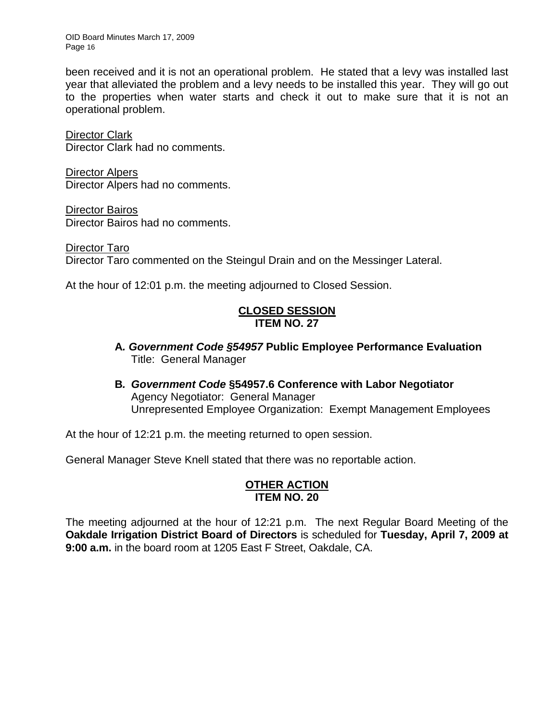OID Board Minutes March 17, 2009 Page 16

been received and it is not an operational problem. He stated that a levy was installed last year that alleviated the problem and a levy needs to be installed this year. They will go out to the properties when water starts and check it out to make sure that it is not an operational problem.

Director Clark Director Clark had no comments.

Director Alpers Director Alpers had no comments.

Director Bairos Director Bairos had no comments.

Director Taro Director Taro commented on the Steingul Drain and on the Messinger Lateral.

At the hour of 12:01 p.m. the meeting adjourned to Closed Session.

# **CLOSED SESSION ITEM NO. 27**

- **A***. Government Code §54957* **Public Employee Performance Evaluation** Title: General Manager
- **B***. Government Code* **§54957.6 Conference with Labor Negotiator** Agency Negotiator: General Manager Unrepresented Employee Organization: Exempt Management Employees

At the hour of 12:21 p.m. the meeting returned to open session.

General Manager Steve Knell stated that there was no reportable action.

## **OTHER ACTION ITEM NO. 20**

The meeting adjourned at the hour of 12:21 p.m. The next Regular Board Meeting of the **Oakdale Irrigation District Board of Directors** is scheduled for **Tuesday, April 7, 2009 at 9:00 a.m.** in the board room at 1205 East F Street, Oakdale, CA.